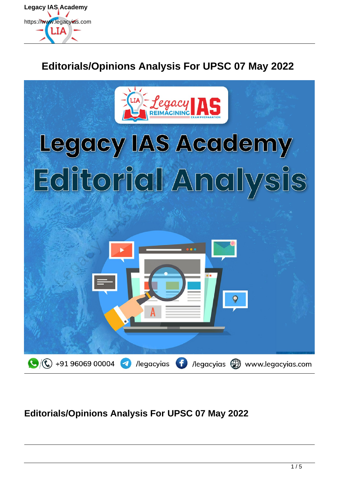

# **Editorials/Opinions Analysis For UPSC 07 May 2022**



# **Editorials/Opinions Analysis For UPSC 07 May 2022**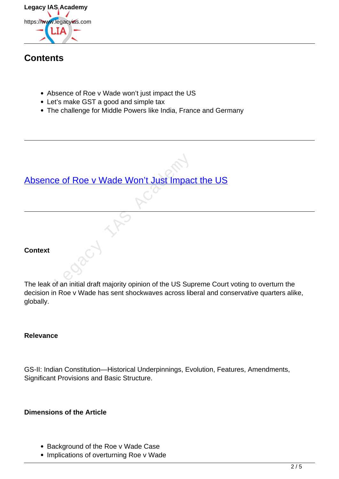

# **Contents**

- Absence of Roe v Wade won't just impact the US
- Let's make GST a good and simple tax
- The challenge for Middle Powers like India, France and Germany

# [Absence of Roe v Wade Won't Just Impact the US](https://www.legacyias.com/absence-of-roe-v-wade-wont-just-impact-the-us/) Legacy Wade Won't Just Impact Contract Contract Contract Contract Contract Contract Contract Contract Contract Contract Contract Contract Contract Contract Contract Contract Contract Contract Contract Contract Contract Con

# **Context**

The leak of an initial draft majority opinion of the US Supreme Court voting to overturn the decision in Roe v Wade has sent shockwaves across liberal and conservative quarters alike, globally.

# **Relevance**

GS-II: Indian Constitution—Historical Underpinnings, Evolution, Features, Amendments, Significant Provisions and Basic Structure.

# **Dimensions of the Article**

- Background of the Roe v Wade Case
- Implications of overturning Roe v Wade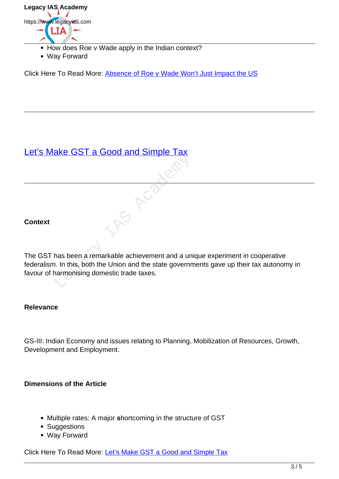

- How does Roe v Wade apply in the Indian context?
- Way Forward

Click Here To Read More: Absence of Roe v Wade Won't Just Impact the US

# Let's Make GST a Good and Simple Tax

### **Context**

The GST has been a remarkable achievement and a unique experiment in cooperative federalism. In this, both the Union and the state governments gave up their tax autonomy in favour of harmonising domestic trade taxes. Make you will be a second will be the property of the Union and the state governm<br>armonising domestic trade taxes.

### **Relevance**

GS-III: Indian Economy and issues relating to Planning, Mobilization of Resources, Growth, Development and Employment.

### **Dimensions of the Article**

- Multiple rates: A major **s**hortcoming in the structure of GST
- Suggestions
- Way Forward

Click Here To Read More: Let's Make GST a Good and Simple Tax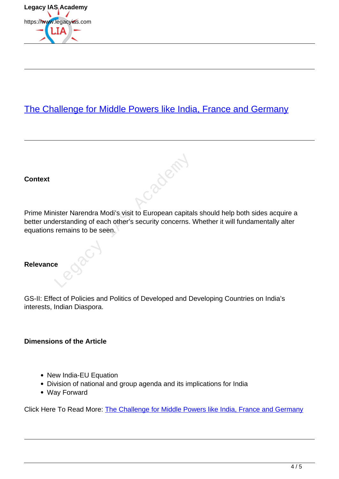

# The Challenge for Middle Powers like India, France and Germany

**Context**

Prime Minister Narendra Modi's visit to European capitals should help both sides acquire a better understanding of each other's security concerns. Whether it will fundamentally alter equations remains to be seen.

Jacques

# **Relevance**

GS-II: Effect of Policies and Politics of Developed and Developing Countries on India's interests, Indian Diaspora.

### **Dimensions of the Article**

- New India-EU Equation
- Division of national and group agenda and its implications for India
- Way Forward

Click Here To Read More: The Challenge for Middle Powers like India, France and Germany